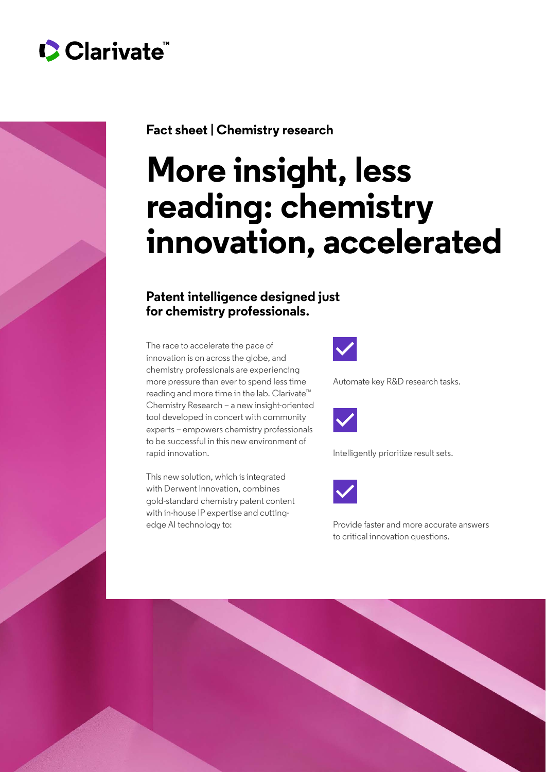



**Fact sheet | Chemistry research**

## **More insight, less reading: chemistry innovation, accelerated**

## **Patent intelligence designed just for chemistry professionals.**

The race to accelerate the pace of innovation is on across the globe, and chemistry professionals are experiencing more pressure than ever to spend less time reading and more time in the lab. Clarivate<sup>™</sup> Chemistry Research – a new insight-oriented tool developed in concert with community experts – empowers chemistry professionals to be successful in this new environment of rapid innovation.

This new solution, which is integrated with Derwent Innovation, combines gold-standard chemistry patent content with in-house IP expertise and cuttingedge AI technology to:



Automate key R&D research tasks.



Intelligently prioritize result sets.



Provide faster and more accurate answers to critical innovation questions.